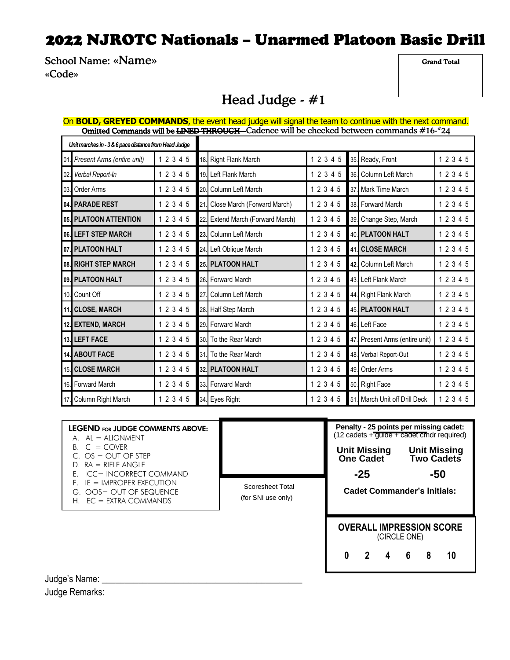School Name: «Name» «Code»

Grand Total

### Head Judge - #1

| On BOLD, GREYED COMMANDS, the event head judge will signal the team to continue with the next command.<br>Omitted Commands will be LINED THROUGH - Cadence will be checked between commands #16-#24 |           |     |                              |  |  |           |  |  |                                |           |
|-----------------------------------------------------------------------------------------------------------------------------------------------------------------------------------------------------|-----------|-----|------------------------------|--|--|-----------|--|--|--------------------------------|-----------|
| Unit marches in - 3 & 6 pace distance from Head Judge                                                                                                                                               |           |     |                              |  |  |           |  |  |                                |           |
| 01. Present Arms (entire unit)                                                                                                                                                                      | 1 2 3 4 5 |     | 18. Right Flank March        |  |  | 1 2 3 4 5 |  |  | 35. Ready, Front               | 1 2 3 4 5 |
| 02. Verbal Report-In                                                                                                                                                                                | 1 2 3 4 5 |     | 19. Left Flank March         |  |  | 1 2 3 4 5 |  |  | 36. Column Left March          | 1 2 3 4 5 |
| 03. Order Arms                                                                                                                                                                                      | 1 2 3 4 5 |     | 20. Column Left March        |  |  | 12345     |  |  | 37. Mark Time March            | 1 2 3 4 5 |
| 04. PARADE REST                                                                                                                                                                                     | 1 2 3 4 5 | 21. | Close March (Forward March)  |  |  | 1 2 3 4 5 |  |  | 38. Forward March              | 1 2 3 4 5 |
| 05. PLATOON ATTENTION                                                                                                                                                                               | 1 2 3 4 5 | 22. | Extend March (Forward March) |  |  | 1 2 3 4 5 |  |  | 39. Change Step, March         | 1 2 3 4 5 |
| 06. LEFT STEP MARCH                                                                                                                                                                                 | 1 2 3 4 5 |     | 23. Column Left March        |  |  | 12345     |  |  | 40. PLATOON HALT               | 1 2 3 4 5 |
| 07. PLATOON HALT                                                                                                                                                                                    | 1 2 3 4 5 |     | 24. Left Oblique March       |  |  | 1 2 3 4 5 |  |  | 41. CLOSE MARCH                | 1 2 3 4 5 |
| 08. RIGHT STEP MARCH                                                                                                                                                                                | 1 2 3 4 5 |     | 25. PLATOON HALT             |  |  | 1 2 3 4 5 |  |  | 42. Column Left March          | 1 2 3 4 5 |
| 09. PLATOON HALT                                                                                                                                                                                    | 1 2 3 4 5 |     | 26. Forward March            |  |  | 1 2 3 4 5 |  |  | 43. Left Flank March           | 1 2 3 4 5 |
| 10. Count Off                                                                                                                                                                                       | 1 2 3 4 5 | 27. | Column Left March            |  |  | 1 2 3 4 5 |  |  | 44. Right Flank March          | 1 2 3 4 5 |
| 11. CLOSE, MARCH                                                                                                                                                                                    | 1 2 3 4 5 |     | 28. Half Step March          |  |  | 1 2 3 4 5 |  |  | <b>45 PLATOON HALT</b>         | 1 2 3 4 5 |
| 12. EXTEND, MARCH                                                                                                                                                                                   | 1 2 3 4 5 |     | 29. Forward March            |  |  | 1 2 3 4 5 |  |  | 46. Left Face                  | 1 2 3 4 5 |
| 13. LEFT FACE                                                                                                                                                                                       | 1 2 3 4 5 |     | 30. To the Rear March        |  |  | 1 2 3 4 5 |  |  | 47. Present Arms (entire unit) | 1 2 3 4 5 |
| 14. ABOUT FACE                                                                                                                                                                                      | 1 2 3 4 5 |     | 31. To the Rear March        |  |  | 12345     |  |  | 48. Verbal Report-Out          | 1 2 3 4 5 |
| 15. CLOSE MARCH                                                                                                                                                                                     | 1 2 3 4 5 |     | 32. PLATOON HALT             |  |  | 12345     |  |  | 49. Order Arms                 | 12345     |
| 16. Forward March                                                                                                                                                                                   | 1 2 3 4 5 |     | 33. Forward March            |  |  | 1 2 3 4 5 |  |  | 50. Right Face                 | 1 2 3 4 5 |
| 17. Column Right March                                                                                                                                                                              | 1 2 3 4 5 |     | 34. Eyes Right               |  |  | 12345     |  |  | 51. March Unit off Drill Deck  | 1 2 3 4 5 |

| Scoresheet Total<br>(for SNI use only) | <b>Unit Missing</b><br>One Cadet<br>$-25$ | <b>Unit Missing</b><br><b>Two Cadets</b><br>-50<br><b>Cadet Commander's Initials:</b> |  |  |  |  |  |
|----------------------------------------|-------------------------------------------|---------------------------------------------------------------------------------------|--|--|--|--|--|
|                                        |                                           | <b>OVERALL IMPRESSION SCORE</b><br>(CIRCLE ONE)                                       |  |  |  |  |  |
|                                        |                                           |                                                                                       |  |  |  |  |  |

Judge's Name: \_\_\_\_\_\_\_\_\_\_\_\_\_\_\_\_\_\_\_\_\_\_\_\_\_\_\_\_\_\_\_\_\_\_\_\_\_\_\_\_\_\_\_\_ Judge Remarks: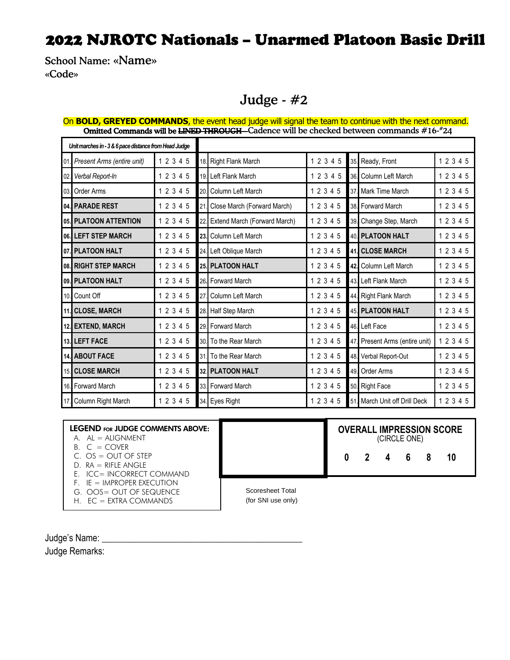School Name: «Name» «Code»

#### Judge - #2

| <b>Omitted Commands will be <del>Ling D THROUGH -</del> C</b> adence will be checked between commands #16-"24 |           |     |                              |  |  |           |  |  |                                |           |  |
|---------------------------------------------------------------------------------------------------------------|-----------|-----|------------------------------|--|--|-----------|--|--|--------------------------------|-----------|--|
| Unit marches in - 3 & 6 pace distance from Head Judge                                                         |           |     |                              |  |  |           |  |  |                                |           |  |
| 01. Present Arms (entire unit)                                                                                | 1 2 3 4 5 |     | 18. Right Flank March        |  |  | 1 2 3 4 5 |  |  | 35. Ready, Front               | 12345     |  |
| 02. Verbal Report-In                                                                                          | 1 2 3 4 5 |     | 19. Left Flank March         |  |  | 1 2 3 4 5 |  |  | 36. Column Left March          | 12345     |  |
| 03. Order Arms                                                                                                | 1 2 3 4 5 | 20. | Column Left March            |  |  | 1 2 3 4 5 |  |  | 37. Mark Time March            | 12345     |  |
| 04. PARADE REST                                                                                               | 1 2 3 4 5 | 21. | Close March (Forward March)  |  |  | 1 2 3 4 5 |  |  | 38. Forward March              | 1 2 3 4 5 |  |
| 05. PLATOON ATTENTION                                                                                         | 1 2 3 4 5 |     | Extend March (Forward March) |  |  | 1 2 3 4 5 |  |  | 39. Change Step, March         | 12345     |  |
| 06. LEFT STEP MARCH                                                                                           | 1 2 3 4 5 |     | 23. Column Left March        |  |  | 12345     |  |  | 40. PLATOON HALT               | 1 2 3 4 5 |  |
| 07. PLATOON HALT                                                                                              | 1 2 3 4 5 |     | 24. Left Oblique March       |  |  | 12345     |  |  | <b>41. CLOSE MARCH</b>         | 1 2 3 4 5 |  |
| 08. RIGHT STEP MARCH                                                                                          | 1 2 3 4 5 |     | 25. PLATOON HALT             |  |  | 1 2 3 4 5 |  |  | 42. Column Left March          | 1 2 3 4 5 |  |
| 09. PLATOON HALT                                                                                              | 1 2 3 4 5 |     | 26. Forward March            |  |  | 1 2 3 4 5 |  |  | 43. Left Flank March           | 1 2 3 4 5 |  |
| 10. Count Off                                                                                                 | 1 2 3 4 5 | 27. | Column Left March            |  |  | 1 2 3 4 5 |  |  | 44. Right Flank March          | 1 2 3 4 5 |  |
| 11. CLOSE, MARCH                                                                                              | 1 2 3 4 5 |     | 28. Half Step March          |  |  | 12345     |  |  | 45. PLATOON HALT               | 1 2 3 4 5 |  |
| 12. EXTEND, MARCH                                                                                             | 1 2 3 4 5 |     | 29. Forward March            |  |  | 1 2 3 4 5 |  |  | 46. Left Face                  | 1 2 3 4 5 |  |
| 13. LEFT FACE                                                                                                 | 1 2 3 4 5 |     | 30. To the Rear March        |  |  | 1 2 3 4 5 |  |  | 47. Present Arms (entire unit) | 1 2 3 4 5 |  |
| 14. ABOUT FACE                                                                                                | 1 2 3 4 5 |     | 31. To the Rear March        |  |  | 1 2 3 4 5 |  |  | 48. Verbal Report-Out          | 1 2 3 4 5 |  |
| 15. CLOSE MARCH                                                                                               | 1 2 3 4 5 |     | 32. PLATOON HALT             |  |  | 1 2 3 4 5 |  |  | 49. Order Arms                 | 1 2 3 4 5 |  |
| 16. Forward March                                                                                             | 1 2 3 4 5 |     | 33. Forward March            |  |  | 1 2 3 4 5 |  |  | 50. Right Face                 | 1 2 3 4 5 |  |
| 17. Column Right March                                                                                        | 1 2 3 4 5 |     | 34. Eyes Right               |  |  | 1 2 3 4 5 |  |  | 51. March Unit off Drill Deck  | 12345     |  |

#### On **BOLD, GREYED COMMANDS**, the event head judge will signal the team to continue with the next command. **Omitted Commands will be <del>LINED THROUGH</del>--**Cadence will be checked between commands #16-\*24

| <b>LEGEND FOR JUDGE COMMENTS ABOVE:</b><br>$A.$ AL = ALIGNMENT                               |                  |  | (CIRCLE ONE)                        |  | <b>OVERALL IMPRESSION SCORE</b> |  |
|----------------------------------------------------------------------------------------------|------------------|--|-------------------------------------|--|---------------------------------|--|
| $B. C = COVER$<br>$C. OS = OUT OF STEP$<br>$D$ RA = RIFIF ANGIF<br>E. ICC= INCORRECT COMMAND |                  |  | $0 \quad 2 \quad 4 \quad 6 \quad 8$ |  |                                 |  |
| $F = IMPROPER EXFCUTION$<br>G. OOS= OUT OF SEQUENCE                                          | Scoresheet Total |  |                                     |  |                                 |  |

H. EC = EXTRA COMMANDS

(for SNI use only)

Judge's Name: Judge Remarks: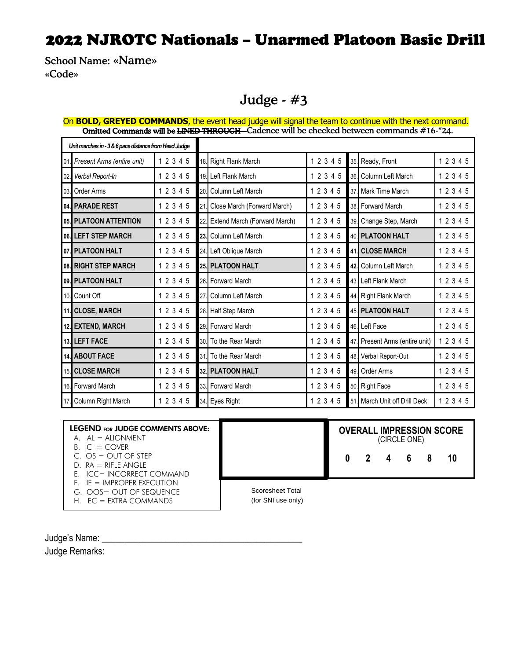School Name: «Name» «Code»

### Judge - #3

|                                                       | <b>rea communes will be bit ably THROOCH</b> - cauched will be checked between communities # 10 - 24. |           |     |                              |           |  |                                |           |  |  |  |  |
|-------------------------------------------------------|-------------------------------------------------------------------------------------------------------|-----------|-----|------------------------------|-----------|--|--------------------------------|-----------|--|--|--|--|
| Unit marches in - 3 & 6 pace distance from Head Judge |                                                                                                       |           |     |                              |           |  |                                |           |  |  |  |  |
|                                                       | 01. Present Arms (entire unit)                                                                        | 1 2 3 4 5 |     | 18. Right Flank March        | 1 2 3 4 5 |  | 35. Ready, Front               | 1 2 3 4 5 |  |  |  |  |
| 02.                                                   | Verbal Report-In                                                                                      | 1 2 3 4 5 |     | 19. Left Flank March         | 1 2 3 4 5 |  | 36. Column Left March          | 1 2 3 4 5 |  |  |  |  |
|                                                       | 03. Order Arms                                                                                        | 1 2 3 4 5 |     | 20. Column Left March        | 1 2 3 4 5 |  | 37. Mark Time March            | 1 2 3 4 5 |  |  |  |  |
|                                                       | 04. PARADE REST                                                                                       | 1 2 3 4 5 | 21  | Close March (Forward March)  | 1 2 3 4 5 |  | 38. Forward March              | 1 2 3 4 5 |  |  |  |  |
|                                                       | 05. PLATOON ATTENTION                                                                                 | 1 2 3 4 5 | 22  | Extend March (Forward March) | 1 2 3 4 5 |  | 39. Change Step, March         | 1 2 3 4 5 |  |  |  |  |
|                                                       | 06. LEFT STEP MARCH                                                                                   | 1 2 3 4 5 | 23. | Column Left March            | 1 2 3 4 5 |  | 40. PLATOON HALT               | 1 2 3 4 5 |  |  |  |  |
|                                                       | 07. PLATOON HALT                                                                                      | 1 2 3 4 5 |     | 24. Left Oblique March       | 1 2 3 4 5 |  | 41. CLOSE MARCH                | 1 2 3 4 5 |  |  |  |  |
|                                                       | 08. RIGHT STEP MARCH                                                                                  | 1 2 3 4 5 |     | 25. PLATOON HALT             | 1 2 3 4 5 |  | 42. Column Left March          | 12345     |  |  |  |  |
|                                                       | 09. PLATOON HALT                                                                                      | 1 2 3 4 5 |     | 26. Forward March            | 1 2 3 4 5 |  | 43. Left Flank March           | 12345     |  |  |  |  |
|                                                       | 10. Count Off                                                                                         | 1 2 3 4 5 | 27. | Column Left March            | 1 2 3 4 5 |  | 44. Right Flank March          | 1 2 3 4 5 |  |  |  |  |
|                                                       | 11. CLOSE, MARCH                                                                                      | 1 2 3 4 5 |     | 28. Half Step March          | 1 2 3 4 5 |  | 45. PLATOON HALT               | 12345     |  |  |  |  |
|                                                       | 12. EXTEND, MARCH                                                                                     | 1 2 3 4 5 |     | 29. Forward March            | 1 2 3 4 5 |  | 46. Left Face                  | 12345     |  |  |  |  |
|                                                       | 13. LEFT FACE                                                                                         | 1 2 3 4 5 |     | 30. To the Rear March        | 1 2 3 4 5 |  | 47. Present Arms (entire unit) | 1 2 3 4 5 |  |  |  |  |
|                                                       | 14. ABOUT FACE                                                                                        | 1 2 3 4 5 |     | 31. To the Rear March        | 1 2 3 4 5 |  | 48. Verbal Report-Out          | 1 2 3 4 5 |  |  |  |  |
|                                                       | 15. CLOSE MARCH                                                                                       | 1 2 3 4 5 |     | <b>32. PLATOON HALT</b>      | 1 2 3 4 5 |  | 49. Order Arms                 | 1 2 3 4 5 |  |  |  |  |
|                                                       | 16. Forward March                                                                                     | 1 2 3 4 5 |     | 33. Forward March            | 1 2 3 4 5 |  | 50. Right Face                 | 1 2 3 4 5 |  |  |  |  |
|                                                       | 17. Column Right March                                                                                | 1 2 3 4 5 |     | 34. Eyes Right               | 1 2 3 4 5 |  | 51. March Unit off Drill Deck  | 12345     |  |  |  |  |

#### On **BOLD, GREYED COMMANDS**, the event head judge will signal the team to continue with the next command. **Omitted Commands will be <del>LINED THROUGH</del> -** Cadence will be checked between commands #16-#24.

| <b>LEGEND FOR JUDGE COMMENTS ABOVE:</b><br>$A.$ AL = ALIGNMENT<br>$B. C = COVER$ |                  |  | (CIRCLE ONE)        |  | <b>OVERALL IMPRESSION SCORE</b> |
|----------------------------------------------------------------------------------|------------------|--|---------------------|--|---------------------------------|
| $C. OS = OUT OF STEP$<br>$D. RA = RIFLE ANGLE$<br>E. ICC= INCORRECT COMMAND      |                  |  | $0 \t2 \t4 \t6 \t8$ |  |                                 |
| $F_{\perp}$ IE = IMPROPER EXECUTION<br>G. OOS= OUT OF SEQUENCE                   | Scoresheet Total |  |                     |  |                                 |

H. EC = EXTRA COMMANDS

(for SNI use only)

Judge's Name: Judge Remarks: